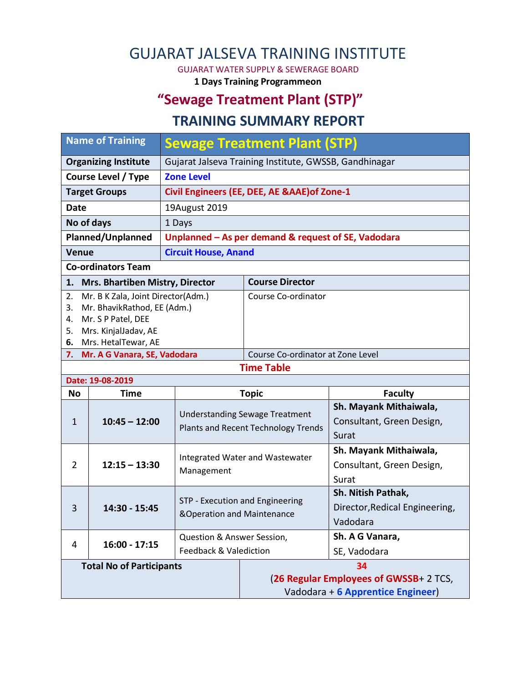### GUJARAT JALSEVA TRAINING INSTITUTE

GUJARAT WATER SUPPLY & SEWERAGE BOARD

**1 Days Training Programmeon**

### **"Sewage Treatment Plant (STP)"**

#### **TRAINING SUMMARY REPORT**

| <b>Name of Training</b>                                                                                                                 |                                        | <b>Sewage Treatment Plant (STP)</b>                           |                                       |                                                                                   |  |  |
|-----------------------------------------------------------------------------------------------------------------------------------------|----------------------------------------|---------------------------------------------------------------|---------------------------------------|-----------------------------------------------------------------------------------|--|--|
| <b>Organizing Institute</b>                                                                                                             |                                        | Gujarat Jalseva Training Institute, GWSSB, Gandhinagar        |                                       |                                                                                   |  |  |
| <b>Course Level / Type</b>                                                                                                              |                                        | <b>Zone Level</b>                                             |                                       |                                                                                   |  |  |
| <b>Target Groups</b>                                                                                                                    |                                        | Civil Engineers (EE, DEE, AE &AAE) of Zone-1                  |                                       |                                                                                   |  |  |
| <b>Date</b>                                                                                                                             |                                        | 19August 2019                                                 |                                       |                                                                                   |  |  |
| No of days                                                                                                                              |                                        | 1 Days                                                        |                                       |                                                                                   |  |  |
| <b>Planned/Unplanned</b>                                                                                                                |                                        | Unplanned - As per demand & request of SE, Vadodara           |                                       |                                                                                   |  |  |
| Venue                                                                                                                                   |                                        | <b>Circuit House, Anand</b>                                   |                                       |                                                                                   |  |  |
|                                                                                                                                         | <b>Co-ordinators Team</b>              |                                                               |                                       |                                                                                   |  |  |
| 1.                                                                                                                                      | <b>Mrs. Bhartiben Mistry, Director</b> |                                                               | <b>Course Director</b>                |                                                                                   |  |  |
| Mr. B K Zala, Joint Director(Adm.)<br>2.<br>Mr. BhavikRathod, EE (Adm.)<br>3.<br>Mr. S P Patel, DEE<br>4.<br>Mrs. KinjalJadav, AE<br>5. |                                        |                                                               | Course Co-ordinator                   |                                                                                   |  |  |
| 6.                                                                                                                                      | Mrs. HetalTewar, AE                    |                                                               |                                       |                                                                                   |  |  |
| Course Co-ordinator at Zone Level<br>Mr. A G Vanara, SE, Vadodara<br>7.<br><b>Time Table</b>                                            |                                        |                                                               |                                       |                                                                                   |  |  |
|                                                                                                                                         | Date: 19-08-2019                       |                                                               |                                       |                                                                                   |  |  |
| No                                                                                                                                      | <b>Time</b>                            |                                                               | <b>Topic</b>                          | <b>Faculty</b>                                                                    |  |  |
| $\mathbf{1}$                                                                                                                            | $10:45 - 12:00$                        | Plants and Recent Technology Trends                           | <b>Understanding Sewage Treatment</b> | Sh. Mayank Mithaiwala,<br>Consultant, Green Design,                               |  |  |
|                                                                                                                                         |                                        |                                                               |                                       | Surat                                                                             |  |  |
| 2                                                                                                                                       | $12:15 - 13:30$                        | Management                                                    | Integrated Water and Wastewater       | Sh. Mayank Mithaiwala,<br>Consultant, Green Design,<br>Surat                      |  |  |
| 3                                                                                                                                       | 14:30 - 15:45                          | STP - Execution and Engineering<br>&Operation and Maintenance |                                       | Sh. Nitish Pathak,<br>Director, Redical Engineering,<br>Vadodara                  |  |  |
|                                                                                                                                         |                                        | Question & Answer Session,                                    |                                       | Sh. A G Vanara,                                                                   |  |  |
| 4                                                                                                                                       | $16:00 - 17:15$                        | <b>Feedback &amp; Valediction</b>                             |                                       | SE, Vadodara                                                                      |  |  |
|                                                                                                                                         | <b>Total No of Participants</b>        |                                                               |                                       | 34<br>(26 Regular Employees of GWSSB+ 2 TCS,<br>Vadodara + 6 Apprentice Engineer) |  |  |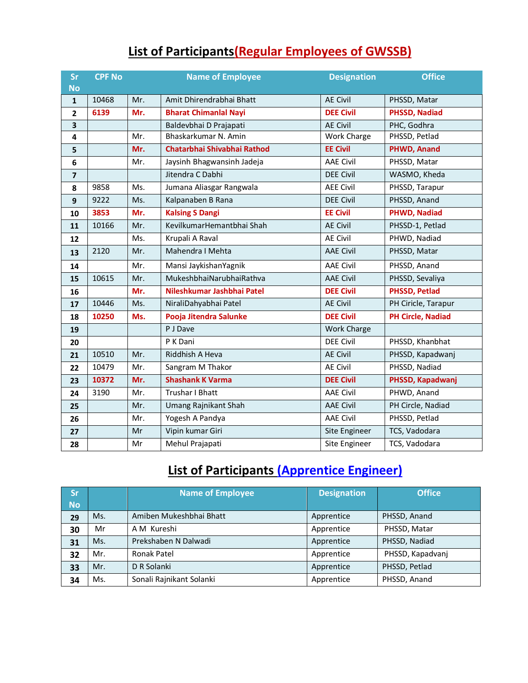| <b>List of Participants (Regular Employees of GWSSB)</b> |
|----------------------------------------------------------|
|----------------------------------------------------------|

| Sr<br><b>No</b> | <b>CPF No</b> |     | <b>Name of Employee</b>      | <b>Designation</b> | <b>Office</b>            |
|-----------------|---------------|-----|------------------------------|--------------------|--------------------------|
| $\mathbf{1}$    | 10468         | Mr. | Amit Dhirendrabhai Bhatt     | <b>AE Civil</b>    | PHSSD, Matar             |
| $\overline{2}$  | 6139          | Mr. | <b>Bharat Chimanlal Nayi</b> | <b>DEE Civil</b>   | <b>PHSSD, Nadiad</b>     |
| 3               |               |     | Baldevbhai D Prajapati       | <b>AE Civil</b>    | PHC, Godhra              |
| 4               |               | Mr. | Bhaskarkumar N. Amin         | Work Charge        | PHSSD, Petlad            |
| 5               |               | Mr. | Chatarbhai Shivabhai Rathod  | <b>EE Civil</b>    | PHWD, Anand              |
| 6               |               | Mr. | Jaysinh Bhagwansinh Jadeja   | <b>AAE Civil</b>   | PHSSD, Matar             |
| $\overline{7}$  |               |     | Jitendra C Dabhi             | <b>DEE Civil</b>   | WASMO, Kheda             |
| 8               | 9858          | Ms. | Jumana Aliasgar Rangwala     | <b>AEE Civil</b>   | PHSSD, Tarapur           |
| 9               | 9222          | Ms. | Kalpanaben B Rana            | <b>DEE Civil</b>   | PHSSD, Anand             |
| 10              | 3853          | Mr. | <b>Kalsing S Dangi</b>       | <b>EE Civil</b>    | <b>PHWD, Nadiad</b>      |
| 11              | 10166         | Mr. | KevilkumarHemantbhai Shah    | <b>AE Civil</b>    | PHSSD-1, Petlad          |
| 12              |               | Ms. | Krupali A Raval              | <b>AE Civil</b>    | PHWD, Nadiad             |
| 13              | 2120          | Mr. | Mahendra I Mehta             | <b>AAE Civil</b>   | PHSSD, Matar             |
| 14              |               | Mr. | Mansi JaykishanYagnik        | <b>AAE Civil</b>   | PHSSD, Anand             |
| 15              | 10615         | Mr. | MukeshbhaiNarubhaiRathva     | <b>AAE Civil</b>   | PHSSD, Sevaliya          |
| 16              |               | Mr. | Nileshkumar Jashbhai Patel   | <b>DEE Civil</b>   | <b>PHSSD, Petlad</b>     |
| 17              | 10446         | Ms. | NiraliDahyabhai Patel        | <b>AE Civil</b>    | PH Ciricle, Tarapur      |
| 18              | 10250         | Ms. | Pooja Jitendra Salunke       | <b>DEE Civil</b>   | <b>PH Circle, Nadiad</b> |
| 19              |               |     | P J Dave                     | Work Charge        |                          |
| 20              |               |     | P K Dani                     | <b>DEE Civil</b>   | PHSSD, Khanbhat          |
| 21              | 10510         | Mr. | Riddhish A Heva              | <b>AE Civil</b>    | PHSSD, Kapadwanj         |
| 22              | 10479         | Mr. | Sangram M Thakor             | <b>AE Civil</b>    | PHSSD, Nadiad            |
| 23              | 10372         | Mr. | <b>Shashank K Varma</b>      | <b>DEE Civil</b>   | PHSSD, Kapadwanj         |
| 24              | 3190          | Mr. | Trushar I Bhatt              | <b>AAE Civil</b>   | PHWD, Anand              |
| 25              |               | Mr. | Umang Rajnikant Shah         | <b>AAE Civil</b>   | PH Circle, Nadiad        |
| 26              |               | Mr. | Yogesh A Pandya              | <b>AAE Civil</b>   | PHSSD, Petlad            |
| 27              |               | Mr  | Vipin kumar Giri             | Site Engineer      | TCS, Vadodara            |
| 28              |               | Mr  | Mehul Prajapati              | Site Engineer      | TCS, Vadodara            |

# **List of Participants (Apprentice Engineer)**

| <b>Sr</b><br><b>No</b> |     | <b>Name of Employee</b>  | <b>Designation</b> | <b>Office</b>    |
|------------------------|-----|--------------------------|--------------------|------------------|
| 29                     | Ms. | Amiben Mukeshbhai Bhatt  | Apprentice         | PHSSD, Anand     |
| 30                     | Mr  | A M Kureshi              | Apprentice         | PHSSD, Matar     |
| 31                     | Ms. | Prekshaben N Dalwadi     | Apprentice         | PHSSD, Nadiad    |
| 32                     | Mr. | Ronak Patel              | Apprentice         | PHSSD, Kapadvanj |
| 33                     | Mr. | D R Solanki              | Apprentice         | PHSSD, Petlad    |
| 34                     | Ms. | Sonali Rajnikant Solanki | Apprentice         | PHSSD, Anand     |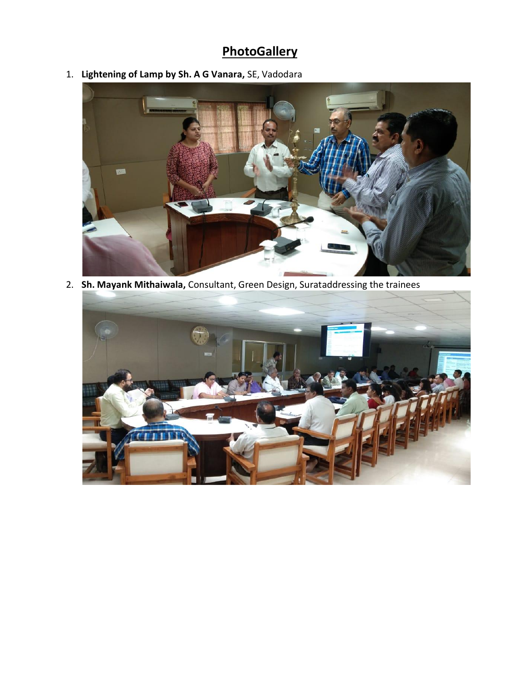## **PhotoGallery**

1. **Lightening of Lamp by Sh. A G Vanara,** SE, Vadodara



2. **Sh. Mayank Mithaiwala,** Consultant, Green Design, Surataddressing the trainees